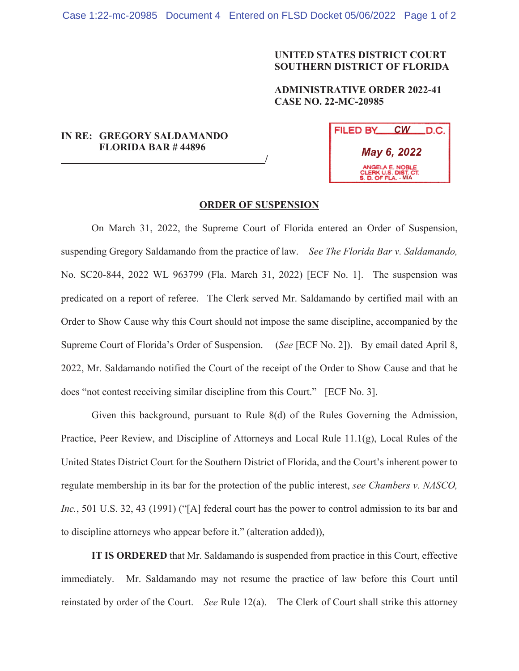## **UNITED STATES DISTRICT COURT SOUTHERN DISTRICT OF FLORIDA**

**ADMINISTRATIVE ORDER 2022-41 CASE NO. 22-MC-20985** 

## **IN RE: GREGORY SALDAMANDO FLORIDA BAR # 44896**

 **/**

| FILED BY                                                       | $\mathcal{C}W$<br>LD.C. . |
|----------------------------------------------------------------|---------------------------|
| May 6, 2022                                                    |                           |
| ANGELA E. NOBLE<br>CLERK U.S. DIST. CT.<br>S. D. OF FLA. - MIA |                           |

## **ORDER OF SUSPENSION**

On March 31, 2022, the Supreme Court of Florida entered an Order of Suspension, suspending Gregory Saldamando from the practice of law. *See The Florida Bar v. Saldamando,*  No. SC20-844, 2022 WL 963799 (Fla. March 31, 2022) [ECF No. 1]. The suspension was predicated on a report of referee. The Clerk served Mr. Saldamando by certified mail with an Order to Show Cause why this Court should not impose the same discipline, accompanied by the Supreme Court of Florida's Order of Suspension. (*See* [ECF No. 2]). By email dated April 8, 2022, Mr. Saldamando notified the Court of the receipt of the Order to Show Cause and that he does "not contest receiving similar discipline from this Court." [ECF No. 3].

Given this background, pursuant to Rule 8(d) of the Rules Governing the Admission, Practice, Peer Review, and Discipline of Attorneys and Local Rule 11.1(g), Local Rules of the United States District Court for the Southern District of Florida, and the Court's inherent power to regulate membership in its bar for the protection of the public interest, *see Chambers v. NASCO, Inc.*, 501 U.S. 32, 43 (1991) ("[A] federal court has the power to control admission to its bar and to discipline attorneys who appear before it." (alteration added)),

**IT IS ORDERED** that Mr. Saldamando is suspended from practice in this Court, effective immediately. Mr. Saldamando may not resume the practice of law before this Court until reinstated by order of the Court. *See* Rule 12(a). The Clerk of Court shall strike this attorney